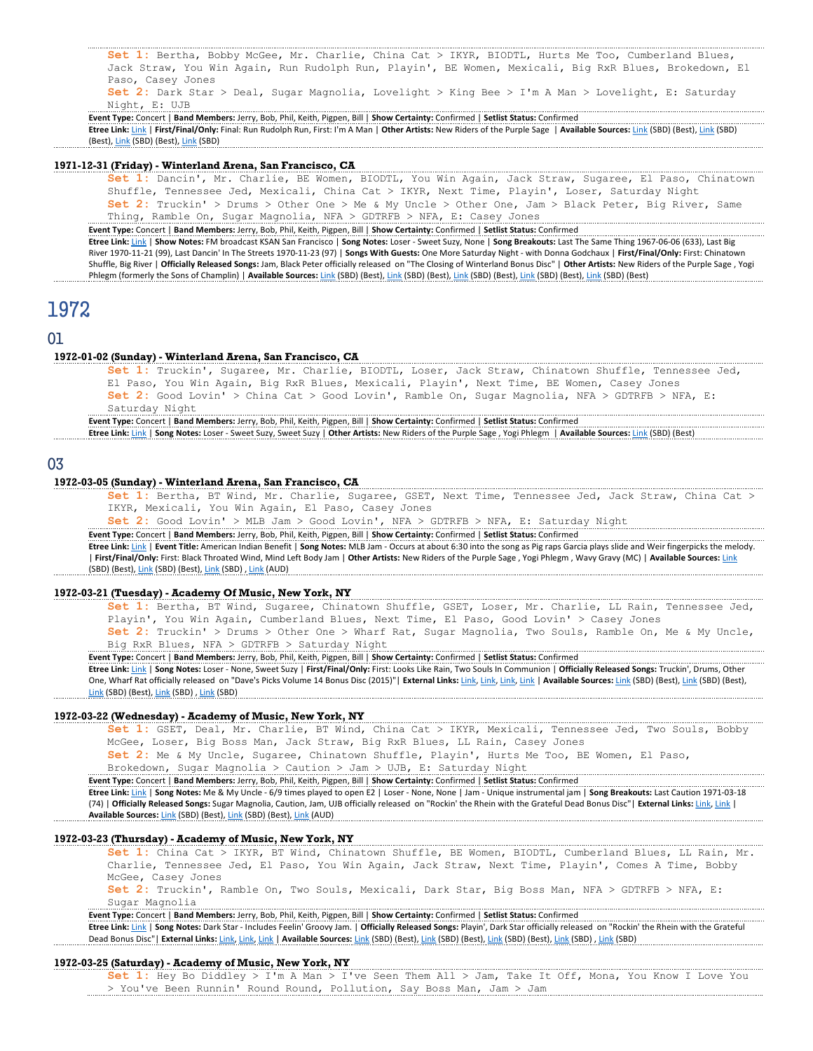Set 1: Bertha, Bobby McGee, Mr. Charlie, China Cat > IKYR, BIODTL, Hurts Me Too, Cumberland Blues, Jack Straw, You Win Again, Run Rudolph Run, Playin', BE Women, Mexicali, Big RxR Blues, Brokedown, El Paso, Casey Jones Set 2: Dark Star > Deal, Sugar Magnolia, Lovelight > King Bee > I'm A Man > Lovelight, E: Saturday

Night, E: UJB

Event Type: Concert | Band Members: Jerry, Bob, Phil, Keith, Pigpen, Bill | Show Certainty: Confirmed | Setlist Status: Confirmed Etree Link: Link | First/Final/Only: Final: Run Rudolph Run, First: I'm A Man | Other Artists: New Riders of the Purple Sage | Available Sources: Link (SBD) (Best), Link (SBD) (Best), Link (SBD) (Best), Link (SBD)

### 1971-12-31 (Friday) - Winterland Arena, San Francisco, CA

Set 1: Dancin', Mr. Charlie, BE Women, BIODTL, You Win Again, Jack Straw, Sugaree, El Paso, Chinatown Shuffle, Tennessee Jed, Mexicali, China Cat > IKYR, Next Time, Playin', Loser, Saturday Night Set 2: Truckin' > Drums > Other One > Me & My Uncle > Other One, Jam > Black Peter, Big River, Same Thing, Ramble On, Sugar Magnolia, NFA > GDTRFB > NFA, E: Casey Jones

Event Type: Concert | Band Members: Jerry, Bob, Phil, Keith, Pigpen, Bill | Show Certainty: Confirmed | Setlist Status: Confirmed Etree Link: Link | Show Notes: FM broadcast KSAN San Francisco | Song Notes: Loser - Sweet Suzy, None | Song Breakouts: Last The Same Thing 1967-06-06 (633), Last Big River 1970-11-21 (99), Last Dancin' In The Streets 1970-11-23 (97) | Songs With Guests: One More Saturday Night - with Donna Godchaux | First/Final/Only: First: Chinatown Shuffle, Big River | Officially Released Songs: Jam, Black Peter officially released on "The Closing of Winterland Bonus Disc" | Other Artists: New Riders of the Purple Sage , Yogi Phlegm (formerly the Sons of Champlin) | Available Sources: Link (SBD) (Best), Link (SBD) (Best), Link (SBD) (Best), Link (SBD) (Best), Link (SBD) (Best), Link (SBD) (Best), Link (SBD) (Best), Link (SBD) (Best), Link (SBD)

# 1972

## 01

### 1972-01-02 (Sunday) - Winterland Arena, San Francisco, CA

Set 1: Truckin', Sugaree, Mr. Charlie, BIODTL, Loser, Jack Straw, Chinatown Shuffle, Tennessee Jed, El Paso, You Win Again, Big RxR Blues, Mexicali, Playin', Next Time, BE Women, Casey Jones Set 2: Good Lovin' > China Cat > Good Lovin', Ramble On, Sugar Magnolia, NFA > GDTRFB > NFA, E: Saturday Night

Event Type: Concert | Band Members: Jerry, Bob, Phil, Keith, Pigpen, Bill | Show Certainty: Confirmed | Setlist Status: Confirmed Etree Link: Link | Song Notes: Loser - Sweet Suzy, Sweet Suzy | Other Artists: New Riders of the Purple Sage , Yogi Phlegm | Available Sources: Link (SBD) (Best)

## 03

#### 1972-03-05 (Sunday) - Winterland Arena, San Francisco, CA

Set 1: Bertha, BT Wind, Mr. Charlie, Sugaree, GSET, Next Time, Tennessee Jed, Jack Straw, China Cat > IKYR, Mexicali, You Win Again, El Paso, Casey Jones

Set 2: Good Lovin' > MLB Jam > Good Lovin', NFA > GDTRFB > NFA, E: Saturday Night

Event Type: Concert | Band Members: Jerry, Bob, Phil, Keith, Pigpen, Bill | Show Certainty: Confirmed | Setlist Status: Confirmed

Etree Link: Link | Event Title: American Indian Benefit | Song Notes: MLB Jam - Occurs at about 6:30 into the song as Pig raps Garcia plays slide and Weir fingerpicks the melody. | First/Final/Only: First: Black Throated Wind, Mind Left Body Jam | Other Artists: New Riders of the Purple Sage , Yogi Phlegm , Wavy Gravy (MC) | Available Sources: Link (SBD) (Best), Link (SBD) (Best), Link (SBD) , Link (AUD)

#### 1972-03-21 (Tuesday) - Academy Of Music, New York, NY

Set 1: Bertha, BT Wind, Sugaree, Chinatown Shuffle, GSET, Loser, Mr. Charlie, LL Rain, Tennessee Jed, Playin', You Win Again, Cumberland Blues, Next Time, El Paso, Good Lovin' > Casey Jones Set 2: Truckin' > Drums > Other One > Wharf Rat, Sugar Magnolia, Two Souls, Ramble On, Me & My Uncle,

Big RxR Blues, NFA > GDTRFB > Saturday Night

Event Type: Concert | Band Members: Jerry, Bob, Phil, Keith, Pigpen, Bill | Show Certainty: Confirmed | Setlist Status: Confirmed

Etree Link: Link | Song Notes: Loser - None, Sweet Suzy | First/Final/Only: First: Looks Like Rain, Two Souls In Communion | Officially Released Songs: Truckin', Drums, Other One, Wharf Rat officially released on "Dave's Picks Volume 14 Bonus Disc (2015)"| External Links: Link, Link, Link, Link, Link | Available Sources: Link (SBD) (Best), Link (SBD) (Best), Link (SBD) (Best), Link (SBD) , Link (SBD)

### 1972-03-22 (Wednesday) - Academy of Music, New York, NY

Set 1: GSET, Deal, Mr. Charlie, BT Wind, China Cat > IKYR, Mexicali, Tennessee Jed, Two Souls, Bobby McGee, Loser, Big Boss Man, Jack Straw, Big RxR Blues, LL Rain, Casey Jones

Set 2: Me & My Uncle, Sugaree, Chinatown Shuffle, Playin', Hurts Me Too, BE Women, El Paso, Brokedown, Sugar Magnolia > Caution > Jam > UJB, E: Saturday Night

Event Type: Concert | Band Members: Jerry, Bob, Phil, Keith, Pigpen, Bill | Show Certainty: Confirmed | Setlist Status: Confirmed

Etree Link: Link | Song Notes: Me & My Uncle - 6/9 times played to open E2 | Loser - None, None | Jam - Unique instrumental jam | Song Breakouts: Last Caution 1971-03-18 (74) | Officially Released Songs: Sugar Magnolia, Caution, Jam, UJB officially released on "Rockin' the Rhein with the Grateful Dead Bonus Disc"| External Links: Link, Link, Link Available Sources: Link (SBD) (Best), Link (SBD) (Best), Link (AUD)

#### 1972-03-23 (Thursday) - Academy of Music, New York, NY

Set 1: China Cat > IKYR, BT Wind, Chinatown Shuffle, BE Women, BIODTL, Cumberland Blues, LL Rain, Mr. Charlie, Tennessee Jed, El Paso, You Win Again, Jack Straw, Next Time, Playin', Comes A Time, Bobby McGee, Casey Jones

Set 2: Truckin', Ramble On, Two Souls, Mexicali, Dark Star, Big Boss Man, NFA > GDTRFB > NFA, E: Sugar Magnolia

Event Type: Concert | Band Members: Jerry, Bob, Phil, Keith, Pigpen, Bill | Show Certainty: Confirmed | Setlist Status: Confirmed

Etree Link: Link | Song Notes: Dark Star - Includes Feelin' Groovy Jam. | Officially Released Songs: Playin', Dark Star officially released on "Rockin' the Rhein with the Grateful Dead Bonus Disc"| External Links: Link, Link, Link | Available Sources: Link (SBD) (Best), Link (SBD) (Best), Link (SBD) (Best), Link (SBD) , Link (SBD) , Link (SBD)

### 1972-03-25 (Saturday) - Academy of Music, New York, NY

Set 1: Hey Bo Diddley > I'm A Man > I've Seen Them All > Jam, Take It Off, Mona, You Know I Love You > You've Been Runnin' Round Round, Pollution, Say Boss Man, Jam > Jam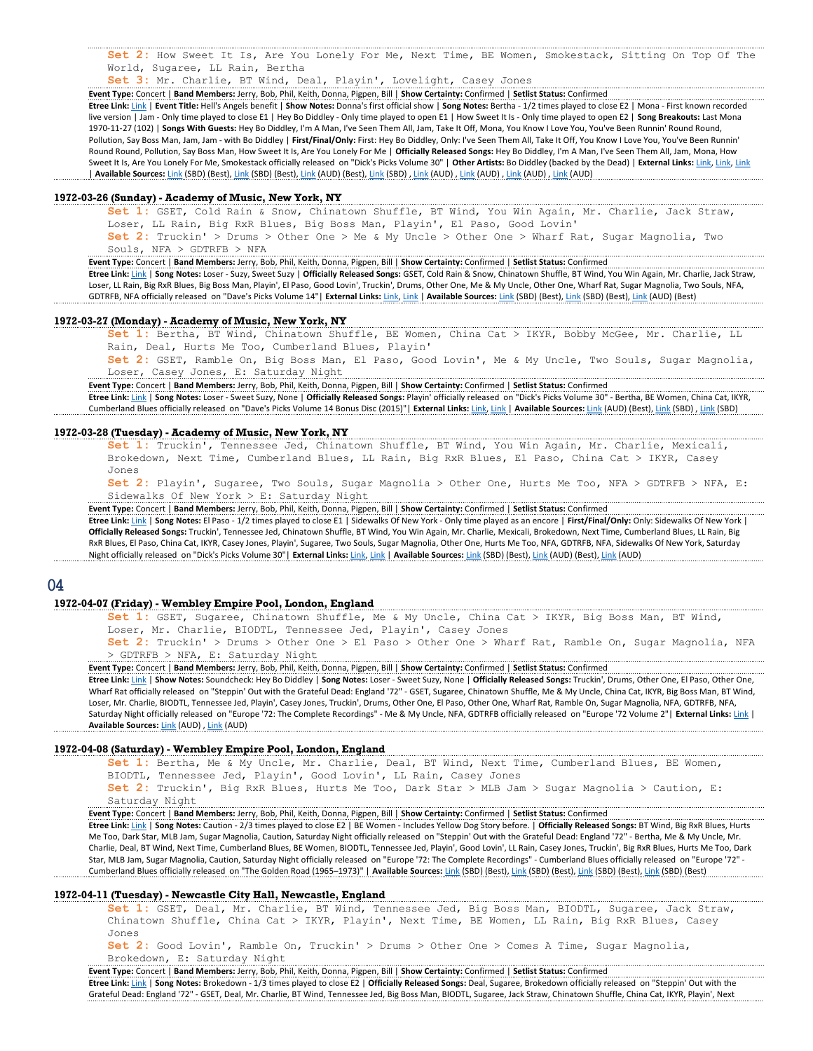Set 2: How Sweet It Is, Are You Lonely For Me, Next Time, BE Women, Smokestack, Sitting On Top Of The World, Sugaree, LL Rain, Bertha

Set 3: Mr. Charlie, BT Wind, Deal, Playin', Lovelight, Casey Jones

Event Type: Concert | Band Members: Jerry, Bob, Phil, Keith, Donna, Pigpen, Bill | Show Certainty: Confirmed | Setlist Status: Confirmed

Etree Link: Link | Event Title: Hell's Angels benefit | Show Notes: Donna's first official show | Song Notes: Bertha - 1/2 times played to close E2 | Mona - First known recorded live version | Jam - Only time played to close E1 | Hey Bo Diddley - Only time played to open E1 | How Sweet It Is - Only time played to open E2 | Song Breakouts: Last Mona 1970-11-27 (102) | Songs With Guests: Hey Bo Diddley, I'm A Man, I've Seen Them All, Jam, Take It Off, Mona, You Know I Love You, You've Been Runnin' Round Round, Pollution, Say Boss Man, Jam, Jam - with Bo Diddley | First/Final/Only: First: Hey Bo Diddley, Only: I've Seen Them All, Take It Off, You Know I Love You, You've Been Runnin' Round Round, Pollution, Say Boss Man, How Sweet It Is, Are You Lonely For Me | Officially Released Songs: Hey Bo Diddley, I'm A Man, I've Seen Them All, Jam, Mona, How Sweet It Is, Are You Lonely For Me, Smokestack officially released on "Dick's Picks Volume 30" | Other Artists: Bo Diddley (backed by the Dead) | External Links: Link, Link, Link, Link, Link, Link, Link, Link, Link, Link, | Available Sources: <u>Link (</u>SBD) (Best), <u>Link (</u>SBD) (Best), <u>Link (</u>AUD) (Best), <u>Link (</u>AUD) , <u>Link (AUD) , Link (AUD) , Link (AUD) , Link (AUD) , Link (AUD) , Link (AUD) , Link (AUD) , Link (AUD) , Link (AUD) , Link </u>

#### 1972-03-26 (Sunday) - Academy of Music, New York, NY

Set 1: GSET, Cold Rain & Snow, Chinatown Shuffle, BT Wind, You Win Again, Mr. Charlie, Jack Straw, Loser, LL Rain, Big RxR Blues, Big Boss Man, Playin', El Paso, Good Lovin'

Set 2: Truckin' > Drums > Other One > Me & My Uncle > Other One > Wharf Rat, Sugar Magnolia, Two Souls, NFA > GDTRFB > NFA

Event Type: Concert | Band Members: Jerry, Bob, Phil, Keith, Donna, Pigpen, Bill | Show Certainty: Confirmed | Setlist Status: Confirmed

Etree Link: Link | Song Notes: Loser - Suzy, Sweet Suzy | Officially Released Songs: GSET, Cold Rain & Snow, Chinatown Shuffle, BT Wind, You Win Again, Mr. Charlie, Jack Straw, Loser, LL Rain, Big RxR Blues, Big Boss Man, Playin', El Paso, Good Lovin', Truckin', Drums, Other One, Me & My Uncle, Other One, Wharf Rat, Sugar Magnolia, Two Souls, NFA, GDTRFB, NFA officially released on "Dave's Picks Volume 14"| External Links: Link, Link | Available Sources: Link (SBD) (Best), Link (SBD) (Best), Link (AUD) (Best)

### 1972-03-27 (Monday) - Academy of Music, New York, NY

Set 1: Bertha, BT Wind, Chinatown Shuffle, BE Women, China Cat > IKYR, Bobby McGee, Mr. Charlie, LL Rain, Deal, Hurts Me Too, Cumberland Blues, Playin'

Set 2: GSET, Ramble On, Big Boss Man, El Paso, Good Lovin', Me & My Uncle, Two Souls, Sugar Magnolia, Loser, Casey Jones, E: Saturday Night

Event Type: Concert | Band Members: Jerry, Bob, Phil, Keith, Donna, Pigpen, Bill | Show Certainty: Confirmed | Setlist Status: Confirmed

Etree Link: Link | Song Notes: Loser - Sweet Suzy, None | Officially Released Songs: Playin' officially released on "Dick's Picks Volume 30" - Bertha, BE Women, China Cat, IKYR, Cumberland Blues officially released on "Dave's Picks Volume 14 Bonus Disc (2015)"| External Links: Link, |Link | Available Sources: Link (AUD) (Best), Link (SBD) , Link (SBD)

#### 1972-03-28 (Tuesday) - Academy of Music, New York, NY

Set 1: Truckin', Tennessee Jed, Chinatown Shuffle, BT Wind, You Win Again, Mr. Charlie, Mexicali, Brokedown, Next Time, Cumberland Blues, LL Rain, Big RxR Blues, El Paso, China Cat > IKYR, Casey Jones

Set 2: Playin', Sugaree, Two Souls, Sugar Magnolia > Other One, Hurts Me Too, NFA > GDTRFB > NFA, E: Sidewalks Of New York > E: Saturday Night

Event Type: Concert | Band Members: Jerry, Bob, Phil, Keith, Donna, Pigpen, Bill | Show Certainty: Confirmed | Setlist Status: Confirmed

Etree Link: Link | Song Notes: El Paso - 1/2 times played to close E1 | Sidewalks Of New York - Only time played as an encore | First/Final/Only: Only: Sidewalks Of New York | Officially Released Songs: Truckin', Tennessee Jed, Chinatown Shuffle, BT Wind, You Win Again, Mr. Charlie, Mexicali, Brokedown, Next Time, Cumberland Blues, LL Rain, Big RxR Blues, El Paso, China Cat, IKYR, Casey Jones, Playin', Sugaree, Two Souls, Sugar Magnolia, Other One, Hurts Me Too, NFA, GDTRFB, NFA, Sidewalks Of New York, Saturday Night officially released on "Dick's Picks Volume 30"| External Links: Link, Link | Available Sources: Link (SBD) (Best), Link (AUD) (Best), Link (AUD)

### 04

## 1972-04-07 (Friday) - Wembley Empire Pool, London, England

Set 1: GSET, Sugaree, Chinatown Shuffle, Me & My Uncle, China Cat > IKYR, Big Boss Man, BT Wind, Loser, Mr. Charlie, BIODTL, Tennessee Jed, Playin', Casey Jones

Set 2: Truckin' > Drums > Other One > El Paso > Other One > Wharf Rat, Ramble On, Sugar Magnolia, NFA > GDTRFB > NFA, E: Saturday Night

Event Type: Concert | Band Members: Jerry, Bob, Phil, Keith, Donna, Pigpen, Bill | Show Certainty: Confirmed | Setlist Status: Confirmed

Etree Link: Link | Show Notes: Soundcheck: Hey Bo Diddley | Song Notes: Loser - Sweet Suzy, None | Officially Released Songs: Truckin', Drums, Other One, El Paso, Other One, Wharf Rat officially released on "Steppin' Out with the Grateful Dead: England '72" - GSET, Sugaree, Chinatown Shuffle, Me & My Uncle, China Cat, IKYR, Big Boss Man, BT Wind, Loser, Mr. Charlie, BIODTL, Tennessee Jed, Playin', Casey Jones, Truckin', Drums, Other One, El Paso, Other One, Wharf Rat, Ramble On, Sugar Magnolia, NFA, GDTRFB, NFA, Saturday Night officially released on "Europe '72: The Complete Recordings" - Me & My Uncle, NFA, GDTRFB officially released on "Europe '72 Volume 2"| External Links: Link | Available Sources: Link (AUD), Link (AUD)

### 1972-04-08 (Saturday) - Wembley Empire Pool, London, England

Set 1: Bertha, Me & My Uncle, Mr. Charlie, Deal, BT Wind, Next Time, Cumberland Blues, BE Women, BIODTL, Tennessee Jed, Playin', Good Lovin', LL Rain, Casey Jones

Set 2: Truckin', Big RxR Blues, Hurts Me Too, Dark Star > MLB Jam > Sugar Magnolia > Caution, E: Saturday Night

Event Type: Concert | Band Members: Jerry, Bob, Phil, Keith, Donna, Pigpen, Bill | Show Certainty: Confirmed | Setlist Status: Confirmed

Etree Link: Link | Song Notes: Caution - 2/3 times played to close E2 | BE Women - Includes Yellow Dog Story before. | Officially Released Songs: BT Wind, Big RxR Blues, Hurts Me Too, Dark Star, MLB Jam, Sugar Magnolia, Caution, Saturday Night officially released on "Steppin' Out with the Grateful Dead: England '72" - Bertha, Me & My Uncle, Mr. Charlie, Deal, BT Wind, Next Time, Cumberland Blues, BE Women, BIODTL, Tennessee Jed, Playin', Good Lovin', LL Rain, Casey Jones, Truckin', Big RxR Blues, Hurts Me Too, Dark Star, MLB Jam, Sugar Magnolia, Caution, Saturday Night officially released on "Europe '72: The Complete Recordings" - Cumberland Blues officially released on "Europe '72" -Cumberland Blues officially released on "The Golden Road (1965–1973)" | Available Sources: Link (SBD) (Best), Link (SBD) (Best), Link (SBD) (Best), Link (SBD) (Best), Link (SBD) (Best), Link (SBD) (Best), Link (SBD) (Best)

### 1972-04-11 (Tuesday) - Newcastle City Hall, Newcastle, England

Set 1: GSET, Deal, Mr. Charlie, BT Wind, Tennessee Jed, Big Boss Man, BIODTL, Sugaree, Jack Straw, Chinatown Shuffle, China Cat > IKYR, Playin', Next Time, BE Women, LL Rain, Big RxR Blues, Casey Jones

Set 2: Good Lovin', Ramble On, Truckin' > Drums > Other One > Comes A Time, Sugar Magnolia, Brokedown, E: Saturday Night

Event Type: Concert | Band Members: Jerry, Bob, Phil, Keith, Donna, Pigpen, Bill | Show Certainty: Confirmed | Setlist Status: Confirmed Etree Link: Link | Song Notes: Brokedown - 1/3 times played to close E2 | Officially Released Songs: Deal, Sugaree, Brokedown officially released on "Steppin' Out with the Grateful Dead: England '72" - GSET, Deal, Mr. Charlie, BT Wind, Tennessee Jed, Big Boss Man, BIODTL, Sugaree, Jack Straw, Chinatown Shuffle, China Cat, IKYR, Playin', Next